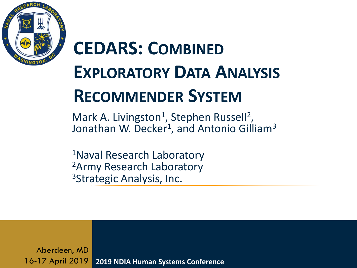

## **CEDARS: COMBINED EXPLORATORY DATA ANALYSIS RECOMMENDER SYSTEM**

Mark A. Livingston<sup>1</sup>, Stephen Russell<sup>2</sup>, Jonathan W. Decker<sup>1</sup>, and Antonio Gilliam<sup>3</sup>

<sup>1</sup>Naval Research Laboratory <sup>2</sup>Army Research Laboratory <sup>3</sup>Strategic Analysis, Inc.

**2019 NDIA Human Systems Conference** Aberdeen, MD 16-17 April 2019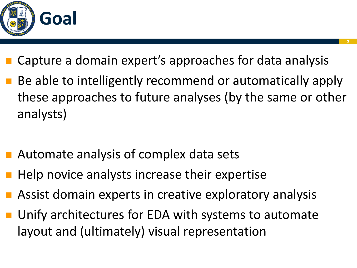

- Capture a domain expert's approaches for data analysis
- Be able to intelligently recommend or automatically apply these approaches to future analyses (by the same or other analysts)
- Automate analysis of complex data sets
- Help novice analysts increase their expertise
- Assist domain experts in creative exploratory analysis
- Unify architectures for EDA with systems to automate layout and (ultimately) visual representation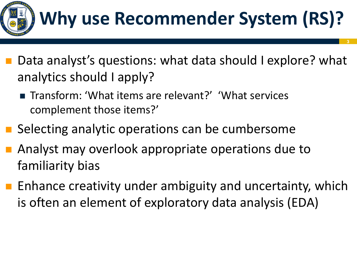

## **Why use Recommender System (RS)?**

- Data analyst's questions: what data should I explore? what analytics should I apply?
	- Transform: 'What items are relevant?' 'What services complement those items?'
- Selecting analytic operations can be cumbersome
- Analyst may overlook appropriate operations due to familiarity bias
- Enhance creativity under ambiguity and uncertainty, which is often an element of exploratory data analysis (EDA)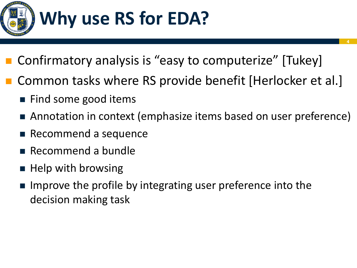

- Confirmatory analysis is "easy to computerize" [Tukey]
- Common tasks where RS provide benefit [Herlocker et al.]
	- Find some good items
	- Annotation in context (emphasize items based on user preference)

- Recommend a sequence
- Recommend a bundle
- Help with browsing
- Improve the profile by integrating user preference into the decision making task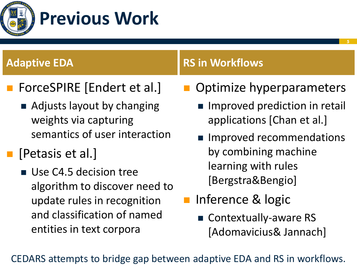

- ForceSPIRE [Endert et al.]
	- Adjusts layout by changing weights via capturing semantics of user interaction
- [Petasis et al.]
	- Use C4.5 decision tree algorithm to discover need to update rules in recognition and classification of named entities in text corpora

## **Adaptive EDA RS** in Workflows

- Optimize hyperparameters
	- Improved prediction in retail applications [Chan et al.]
	- Improved recommendations by combining machine learning with rules [Bergstra&Bengio]
- Inference & logic
	- Contextually-aware RS [Adomavicius& Jannach]

CEDARS attempts to bridge gap between adaptive EDA and RS in workflows.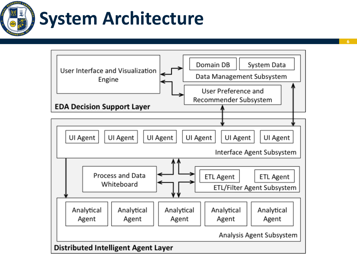

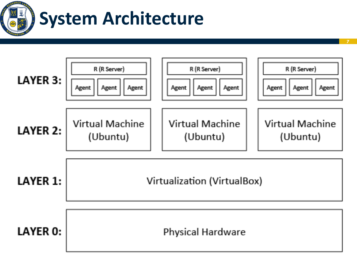

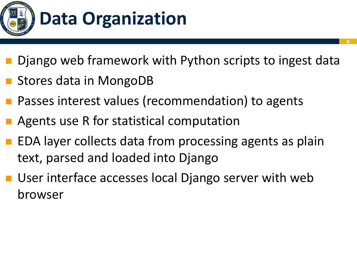

Django web framework with Python scripts to ingest data

- Stores data in MongoDB
- Passes interest values (recommendation) to agents
- Agents use R for statistical computation
- EDA layer collects data from processing agents as plain text, parsed and loaded into Django
- User interface accesses local Django server with web browser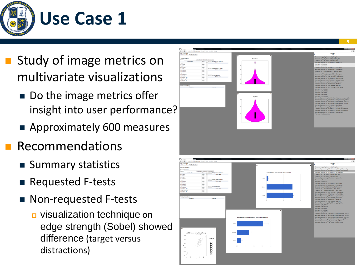

- Study of image metrics on multivariate visualizations
	- Do the image metrics offer insight into user performance?
	- Approximately 600 measures
- **Recommendations** 
	- Summary statistics
	- ◼ Requested F-tests
	- Non-requested F-tests
		- visualization technique on edge strength (Sobel) showed difference (target versus distractions )

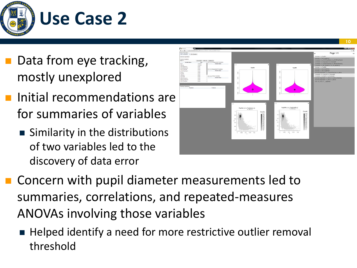

- Data from eye tracking, mostly unexplored
- Initial recommendations are for summaries of variables
	- Similarity in the distributions of two variables led to the discovery of data error



- Concern with pupil diameter measurements led to summaries, correlations, and repeated-measures ANOVAs involving those variables
	- Helped identify a need for more restrictive outlier removal threshold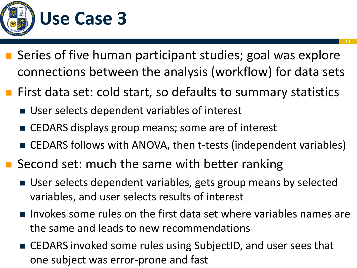

- Series of five human participant studies; goal was explore connections between the analysis (workflow) for data sets
- First data set: cold start, so defaults to summary statistics
	- User selects dependent variables of interest
	- CEDARS displays group means; some are of interest
	- CEDARS follows with ANOVA, then t-tests (independent variables)
- Second set: much the same with better ranking
	- User selects dependent variables, gets group means by selected variables, and user selects results of interest
	- Invokes some rules on the first data set where variables names are the same and leads to new recommendations
	- CEDARS invoked some rules using SubjectID, and user sees that one subject was error-prone and fast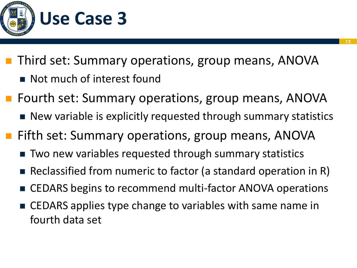

- Third set: Summary operations, group means, ANOVA
	- Not much of interest found
- <sup>◼</sup> Fourth set: Summary operations, group means, ANOVA
	- New variable is explicitly requested through summary statistics
- Fifth set: Summary operations, group means, ANOVA
	- Two new variables requested through summary statistics
	- Reclassified from numeric to factor (a standard operation in R)
	- CEDARS begins to recommend multi-factor ANOVA operations
	- CEDARS applies type change to variables with same name in fourth data set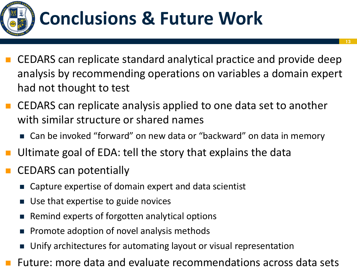

- <sup>◼</sup> CEDARS can replicate standard analytical practice and provide deep analysis by recommending operations on variables a domain expert had not thought to test
- CEDARS can replicate analysis applied to one data set to another with similar structure or shared names
	- Can be invoked "forward" on new data or "backward" on data in memory
- Ultimate goal of EDA: tell the story that explains the data
- CEDARS can potentially
	- Capture expertise of domain expert and data scientist
	- Use that expertise to guide novices
	- Remind experts of forgotten analytical options
	- ◼ Promote adoption of novel analysis methods
	- Unify architectures for automating layout or visual representation
- Future: more data and evaluate recommendations across data sets